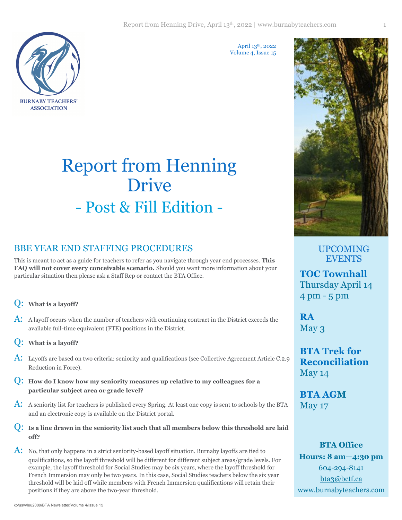**BURNABY TEACHERS' ASSOCIATION** 

April 13th, 2022 Volume 4, Issue 15

# Report from Henning Drive - Post & Fill Edition -

# BBE YEAR END STAFFING PROCEDURES

This is meant to act as a guide for teachers to refer as you navigate through year end processes. **This FAQ will not cover every conceivable scenario.** Should you want more information about your particular situation then please ask a Staff Rep or contact the BTA Office.

# Q: **What is a layoff?**

- A: A layoff occurs when the number of teachers with continuing contract in the District exceeds the available full-time equivalent (FTE) positions in the District.
- Q: **What is a layoff?**
- A: Layoffs are based on two criteria: seniority and qualifications (see Collective Agreement Article C.2.9 Reduction in Force).
- Q: **How do I know how my seniority measures up relative to my colleagues for a particular subject area or grade level?**
- A: A seniority list for teachers is published every Spring. At least one copy is sent to schools by the BTA and an electronic copy is available on the District portal.
- Q: **Is a line drawn in the seniority list such that all members below this threshold are laid off?**

 $\overline{A}$ : No, that only happens in a strict seniority-based layoff situation. Burnaby layoffs are tied to qualifications, so the layoff threshold will be different for different subject areas/grade levels. For example, the layoff threshold for Social Studies may be six years, where the layoff threshold for French Immersion may only be two years. In this case, Social Studies teachers below the six year threshold will be laid off while members with French Immersion qualifications will retain their positions if they are above the two-year threshold.

UPCOMING EVENTS

**TOC Townhall** Thursday April 14 4 pm - 5 pm

**RA** May 3

**BTA Trek for Reconciliation** May 14

**BTA AGM** May 17

**BTA Office Hours: 8 am—4:30 pm** 604-294-8141 [bta3@bctf.ca](mailto:bta3@bctf.ca) [www.burnabyteachers.com](http://www.burnabyteachers.com)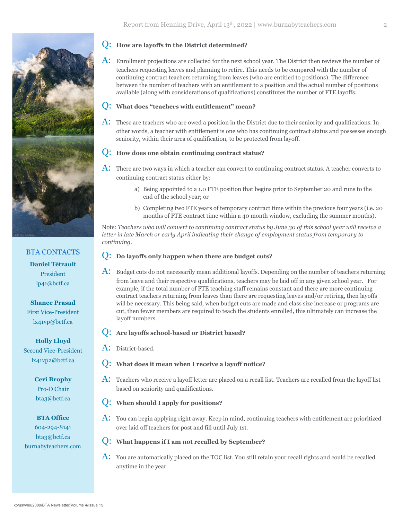

# BTA CONTACTS **Daniel Tétrault** President lp41@bctf.ca

## **Shanee Prasad** First Vice-President lx41vp@bctf.ca

**Holly Lloyd** Second Vice-President lx41vp2@bctf.ca

> **Ceri Brophy** Pro-D Chair bta3@bctf.ca

### **BTA Office** 604-294-8141 bta3@bctf.ca [burnabyteachers.com](http://www.burnabyteachers.com)

#### Q: **How are layoffs in the District determined?**

 $\overline{A}$ : Enrollment projections are collected for the next school year. The District then reviews the number of teachers requesting leaves and planning to retire. This needs to be compared with the number of continuing contract teachers returning from leaves (who are entitled to positions). The difference between the number of teachers with an entitlement to a position and the actual number of positions available (along with considerations of qualifications) constitutes the number of FTE layoffs.

#### Q: **What does "teachers with entitlement" mean?**

 $\overline{A}$ : These are teachers who are owed a position in the District due to their seniority and qualifications. In other words, a teacher with entitlement is one who has continuing contract status and possesses enough seniority, within their area of qualification, to be protected from layoff.

#### Q: **How does one obtain continuing contract status?**

- $\overline{A}$ : There are two ways in which a teacher can convert to continuing contract status. A teacher converts to continuing contract status either by:
	- a) Being appointed to a 1.0 FTE position that begins prior to September 20 and runs to the end of the school year; or
	- b) Completing two FTE years of temporary contract time within the previous four years (i.e. 20 months of FTE contract time within a 40 month window, excluding the summer months).

Note: *Teachers who will convert to continuing contract status by June 30 of this school year will receive a letter in late March or early April indicating their change of employment status from temporary to continuing.* 

#### Q: **Do layoffs only happen when there are budget cuts?**

 $\overline{A}$ : Budget cuts do not necessarily mean additional layoffs. Depending on the number of teachers returning from leave and their respective qualifications, teachers may be laid off in any given school year. For example, if the total number of FTE teaching staff remains constant and there are more continuing contract teachers returning from leaves than there are requesting leaves and/or retiring, then layoffs will be necessary. This being said, when budget cuts are made and class size increase or programs are cut, then fewer members are required to teach the students enrolled, this ultimately can increase the layoff numbers.

#### Q: **Are layoffs school-based or District based?**

- A: District-based.
- What does it mean when I receive a layoff notice?
- $\rm A:$  Teachers who receive a layoff letter are placed on a recall list. Teachers are recalled from the layoff list based on seniority and qualifications.

#### Q: **When should I apply for positions?**

- $\overline{A}$ : You can begin applying right away. Keep in mind, continuing teachers with entitlement are prioritized over laid off teachers for post and fill until July 1st.
- Q: **What happens if I am not recalled by September?**
- $\rm A:$  You are automatically placed on the TOC list. You still retain your recall rights and could be recalled anytime in the year.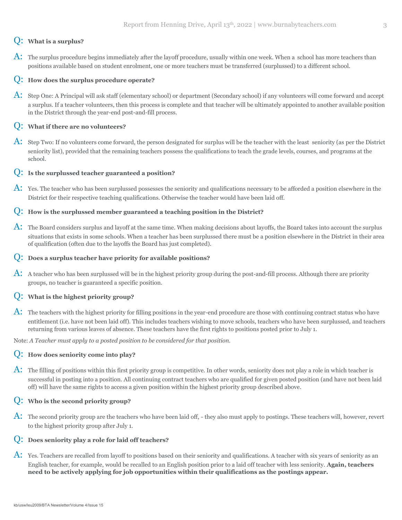#### Q: **What is a surplus?**

A: The surplus procedure begins immediately after the layoff procedure, usually within one week. When a school has more teachers than positions available based on student enrolment, one or more teachers must be transferred (surplussed) to a different school.

#### Q: **How does the surplus procedure operate?**

A: Step One: A Principal will ask staff (elementary school) or department (Secondary school) if any volunteers will come forward and accept a surplus. If a teacher volunteers, then this process is complete and that teacher will be ultimately appointed to another available position in the District through the year-end post-and-fill process.

#### Q: **What if there are no volunteers?**

A: Step Two: If no volunteers come forward, the person designated for surplus will be the teacher with the least seniority (as per the District seniority list), provided that the remaining teachers possess the qualifications to teach the grade levels, courses, and programs at the school.

#### Q: **Is the surplussed teacher guaranteed a position?**

 $\overline{A}$ : Yes. The teacher who has been surplussed possesses the seniority and qualifications necessary to be afforded a position elsewhere in the District for their respective teaching qualifications. Otherwise the teacher would have been laid off.

#### Q: **How is the surplussed member guaranteed a teaching position in the District?**

 $\rm A:$  The Board considers surplus and layoff at the same time. When making decisions about layoffs, the Board takes into account the surplus situations that exists in some schools. When a teacher has been surplussed there must be a position elsewhere in the District in their area of qualification (often due to the layoffs the Board has just completed).

#### Q: **Does a surplus teacher have priority for available positions?**

 $\overline{A}$ : A teacher who has been surplussed will be in the highest priority group during the post-and-fill process. Although there are priority groups, no teacher is guaranteed a specific position.

#### Q: **What is the highest priority group?**

A: The teachers with the highest priority for filling positions in the year-end procedure are those with continuing contract status who have entitlement (i.e. have not been laid off). This includes teachers wishing to move schools, teachers who have been surplussed, and teachers returning from various leaves of absence. These teachers have the first rights to positions posted prior to July 1.

Note: *A Teacher must apply to a posted position to be considered for that position.*

#### Q: **How does seniority come into play?**

 $\mathbf A$ : The filling of positions within this first priority group is competitive. In other words, seniority does not play a role in which teacher is successful in posting into a position. All continuing contract teachers who are qualified for given posted position (and have not been laid off) will have the same rights to access a given position within the highest priority group described above.

#### Q: **Who is the second priority group?**

A: The second priority group are the teachers who have been laid off, - they also must apply to postings. These teachers will, however, revert to the highest priority group after July 1.

#### Q: **Does seniority play a role for laid off teachers?**

 $\overline{A}$ : Yes. Teachers are recalled from layoff to positions based on their seniority and qualifications. A teacher with six years of seniority as an English teacher, for example, would be recalled to an English position prior to a laid off teacher with less seniority. **Again, teachers need to be actively applying for job opportunities within their qualifications as the postings appear.**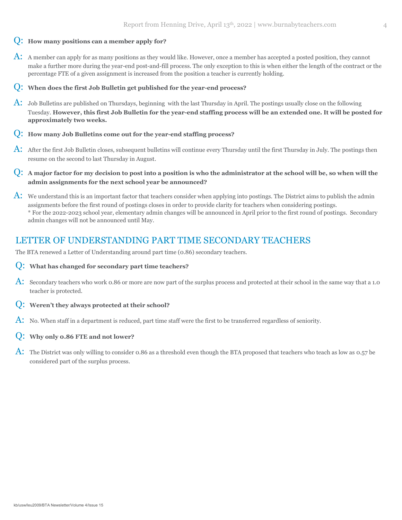#### Q: **How many positions can a member apply for?**

A: A member can apply for as many positions as they would like. However, once a member has accepted a posted position, they cannot make a further more during the year-end post-and-fill process. The only exception to this is when either the length of the contract or the percentage FTE of a given assignment is increased from the position a teacher is currently holding.

#### Q: **When does the first Job Bulletin get published for the year-end process?**

- A: Job Bulletins are published on Thursdays, beginning with the last Thursday in April. The postings usually close on the following Tuesday. **However, this first Job Bulletin for the year-end staffing process will be an extended one. It will be posted for approximately two weeks.**
- Q: **How many Job Bulletins come out for the year-end staffing process?**
- A: After the first Job Bulletin closes, subsequent bulletins will continue every Thursday until the first Thursday in July. The postings then resume on the second to last Thursday in August.
- Q: **A major factor for my decision to post into a position is who the administrator at the school will be, so when will the admin assignments for the next school year be announced?**
- $\rm A:$  We understand this is an important factor that teachers consider when applying into postings. The District aims to publish the admin assignments before the first round of postings closes in order to provide clarity for teachers when considering postings. \* For the 2022-2023 school year, elementary admin changes will be announced in April prior to the first round of postings. Secondary admin changes will not be announced until May.

# LETTER OF UNDERSTANDING PART TIME SECONDARY TEACHERS

The BTA renewed a Letter of Understanding around part time (0.86) secondary teachers.

#### Q: **What has changed for secondary part time teachers?**

- A: Secondary teachers who work 0.86 or more are now part of the surplus process and protected at their school in the same way that a 1.0 teacher is protected.
- Q: **Weren't they always protected at their school?**
- A: No. When staff in a department is reduced, part time staff were the first to be transferred regardless of seniority.

#### Q: **Why only 0.86 FTE and not lower?**

A: The District was only willing to consider 0.86 as a threshold even though the BTA proposed that teachers who teach as low as 0.57 be considered part of the surplus process.